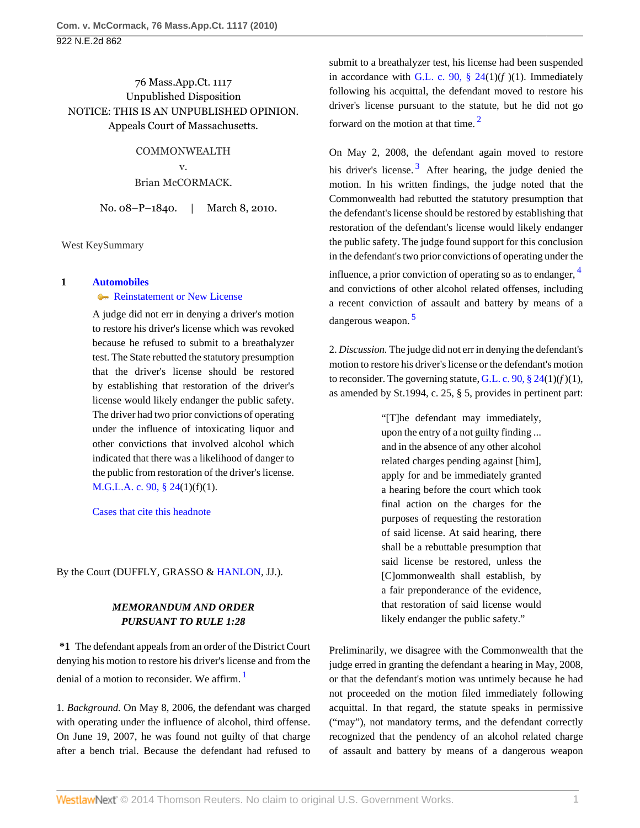## 76 Mass.App.Ct. 1117 Unpublished Disposition NOTICE: THIS IS AN UNPUBLISHED OPINION. Appeals Court of Massachusetts.

COMMONWEALTH v. Brian McCORMACK.

No. 08–P–1840. | March 8, 2010.

West KeySummary

### **1 [Automobiles](http://www.westlaw.com/Browse/Home/KeyNumber/48A/View.html?docGuid=I24f3bbd12a6911df8bf6cd8525c41437&originationContext=document&vr=3.0&rs=cblt1.0&transitionType=DocumentItem&contextData=(sc.Search))**

### [Reinstatement or New License](http://www.westlaw.com/Browse/Home/KeyNumber/48Ak144.7/View.html?docGuid=I24f3bbd12a6911df8bf6cd8525c41437&originationContext=document&vr=3.0&rs=cblt1.0&transitionType=DocumentItem&contextData=(sc.Search))

A judge did not err in denying a driver's motion to restore his driver's license which was revoked because he refused to submit to a breathalyzer test. The State rebutted the statutory presumption that the driver's license should be restored by establishing that restoration of the driver's license would likely endanger the public safety. The driver had two prior convictions of operating under the influence of intoxicating liquor and other convictions that involved alcohol which indicated that there was a likelihood of danger to the public from restoration of the driver's license. [M.G.L.A. c. 90, § 24](http://www.westlaw.com/Link/Document/FullText?findType=L&pubNum=1000042&cite=MAST90S24&originatingDoc=I24f3bbd12a6911df8bf6cd8525c41437&refType=LQ&originationContext=document&vr=3.0&rs=cblt1.0&transitionType=DocumentItem&contextData=(sc.Search))(1)(f)(1).

[Cases that cite this headnote](http://www.westlaw.com/Link/RelatedInformation/DocHeadnoteLink?docGuid=I24f3bbd12a6911df8bf6cd8525c41437&headnoteId=202149019500020100427&originationContext=document&vr=3.0&rs=cblt1.0&transitionType=CitingReferences&contextData=(sc.Search))

By the Court (DUFFLY, GRASSO & [HANLON,](http://www.westlaw.com/Link/Document/FullText?findType=h&pubNum=176284&cite=0151854801&originatingDoc=I24f3bbd12a6911df8bf6cd8525c41437&refType=RQ&originationContext=document&vr=3.0&rs=cblt1.0&transitionType=DocumentItem&contextData=(sc.Search)) JJ.).

# *MEMORANDUM AND ORDER PURSUANT TO RULE 1:28*

**\*1** The defendant appeals from an order of the District Court denying his motion to restore his driver's license and from the denial of a motion to reconsider. We affirm.<sup>[1](#page-1-0)</sup>

1. *Background.* On May 8, 2006, the defendant was charged with operating under the influence of alcohol, third offense. On June 19, 2007, he was found not guilty of that charge after a bench trial. Because the defendant had refused to submit to a breathalyzer test, his license had been suspended in accordance with G.L. c. 90,  $\S$  24(1)(*f*)(1). Immediately following his acquittal, the defendant moved to restore his driver's license pursuant to the statute, but he did not go forward on the motion at that time. [2](#page-1-1)

<span id="page-0-2"></span><span id="page-0-1"></span>On May 2, 2008, the defendant again moved to restore his driver's license.<sup>[3](#page-1-2)</sup> After hearing, the judge denied the motion. In his written findings, the judge noted that the Commonwealth had rebutted the statutory presumption that the defendant's license should be restored by establishing that restoration of the defendant's license would likely endanger the public safety. The judge found support for this conclusion in the defendant's two prior convictions of operating under the influence, a prior conviction of operating so as to endanger, <sup>[4](#page-1-3)</sup> and convictions of other alcohol related offenses, including a recent conviction of assault and battery by means of a dangerous weapon. [5](#page-1-4)

<span id="page-0-4"></span>2. *Discussion.* The judge did not err in denying the defendant's motion to restore his driver's license or the defendant's motion to reconsider. The governing statute, G.L. c. 90,  $\S$  24(1)( $f$ )(1), as amended by St.1994, c. 25, § 5, provides in pertinent part:

> <span id="page-0-3"></span>"[T]he defendant may immediately, upon the entry of a not guilty finding ... and in the absence of any other alcohol related charges pending against [him], apply for and be immediately granted a hearing before the court which took final action on the charges for the purposes of requesting the restoration of said license. At said hearing, there shall be a rebuttable presumption that said license be restored, unless the [C]ommonwealth shall establish, by a fair preponderance of the evidence, that restoration of said license would likely endanger the public safety."

<span id="page-0-0"></span>Preliminarily, we disagree with the Commonwealth that the judge erred in granting the defendant a hearing in May, 2008, or that the defendant's motion was untimely because he had not proceeded on the motion filed immediately following acquittal. In that regard, the statute speaks in permissive ("may"), not mandatory terms, and the defendant correctly recognized that the pendency of an alcohol related charge of assault and battery by means of a dangerous weapon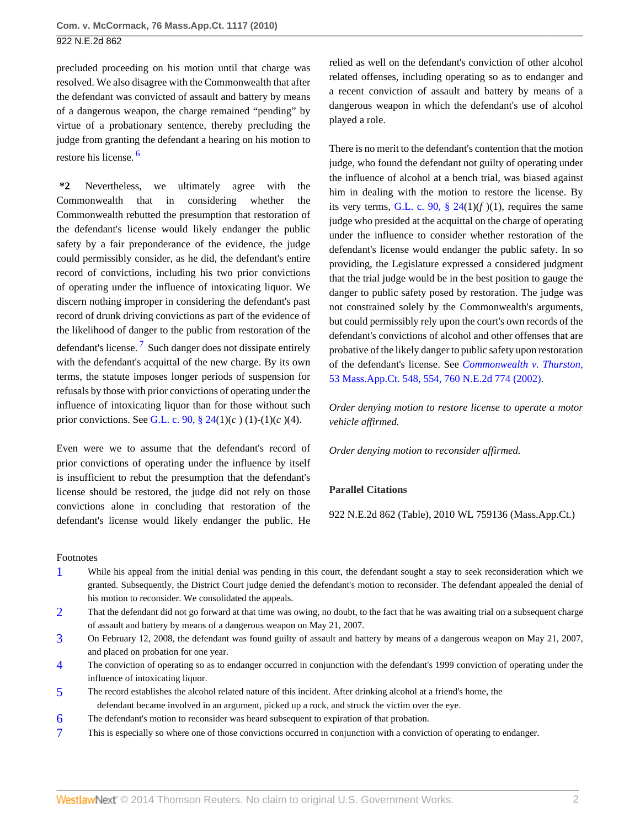922 N.E.2d 862

precluded proceeding on his motion until that charge was resolved. We also disagree with the Commonwealth that after the defendant was convicted of assault and battery by means of a dangerous weapon, the charge remained "pending" by virtue of a probationary sentence, thereby precluding the judge from granting the defendant a hearing on his motion to restore his license. [6](#page-1-5)

<span id="page-1-7"></span>**\*2** Nevertheless, we ultimately agree with the Commonwealth that in considering whether the Commonwealth rebutted the presumption that restoration of the defendant's license would likely endanger the public safety by a fair preponderance of the evidence, the judge could permissibly consider, as he did, the defendant's entire record of convictions, including his two prior convictions of operating under the influence of intoxicating liquor. We discern nothing improper in considering the defendant's past record of drunk driving convictions as part of the evidence of the likelihood of danger to the public from restoration of the defendant's license.<sup>[7](#page-1-6)</sup> Such danger does not dissipate entirely with the defendant's acquittal of the new charge. By its own terms, the statute imposes longer periods of suspension for refusals by those with prior convictions of operating under the influence of intoxicating liquor than for those without such prior convictions. See [G.L. c. 90, § 24\(](http://www.westlaw.com/Link/Document/FullText?findType=L&pubNum=1000042&cite=MAST90S24&originatingDoc=I24f3bbd12a6911df8bf6cd8525c41437&refType=LQ&originationContext=document&vr=3.0&rs=cblt1.0&transitionType=DocumentItem&contextData=(sc.Search))1)(*c* ) (1)-(1)(*c* )(4).

<span id="page-1-8"></span>Even were we to assume that the defendant's record of prior convictions of operating under the influence by itself is insufficient to rebut the presumption that the defendant's license should be restored, the judge did not rely on those convictions alone in concluding that restoration of the defendant's license would likely endanger the public. He relied as well on the defendant's conviction of other alcohol related offenses, including operating so as to endanger and a recent conviction of assault and battery by means of a dangerous weapon in which the defendant's use of alcohol played a role.

There is no merit to the defendant's contention that the motion judge, who found the defendant not guilty of operating under the influence of alcohol at a bench trial, was biased against him in dealing with the motion to restore the license. By its very terms, G.L. c. 90,  $\S$  24(1)( $f$ )(1), requires the same judge who presided at the acquittal on the charge of operating under the influence to consider whether restoration of the defendant's license would endanger the public safety. In so providing, the Legislature expressed a considered judgment that the trial judge would be in the best position to gauge the danger to public safety posed by restoration. The judge was not constrained solely by the Commonwealth's arguments, but could permissibly rely upon the court's own records of the defendant's convictions of alcohol and other offenses that are probative of the likely danger to public safety upon restoration of the defendant's license. See *[Commonwealth v. Thurston,](http://www.westlaw.com/Link/Document/FullText?findType=Y&serNum=2002049746&pubNum=578&originationContext=document&vr=3.0&rs=cblt1.0&transitionType=DocumentItem&contextData=(sc.Search))* [53 Mass.App.Ct. 548, 554, 760 N.E.2d 774 \(2002\).](http://www.westlaw.com/Link/Document/FullText?findType=Y&serNum=2002049746&pubNum=578&originationContext=document&vr=3.0&rs=cblt1.0&transitionType=DocumentItem&contextData=(sc.Search))

*Order denying motion to restore license to operate a motor vehicle affirmed.*

*Order denying motion to reconsider affirmed.*

### **Parallel Citations**

922 N.E.2d 862 (Table), 2010 WL 759136 (Mass.App.Ct.)

#### Footnotes

- <span id="page-1-0"></span>[1](#page-0-0) While his appeal from the initial denial was pending in this court, the defendant sought a stay to seek reconsideration which we granted. Subsequently, the District Court judge denied the defendant's motion to reconsider. The defendant appealed the denial of his motion to reconsider. We consolidated the appeals.
- <span id="page-1-1"></span>[2](#page-0-1) That the defendant did not go forward at that time was owing, no doubt, to the fact that he was awaiting trial on a subsequent charge of assault and battery by means of a dangerous weapon on May 21, 2007.
- <span id="page-1-2"></span>[3](#page-0-2) On February 12, 2008, the defendant was found guilty of assault and battery by means of a dangerous weapon on May 21, 2007, and placed on probation for one year.
- <span id="page-1-3"></span>[4](#page-0-3) The conviction of operating so as to endanger occurred in conjunction with the defendant's 1999 conviction of operating under the influence of intoxicating liquor.
- <span id="page-1-4"></span>[5](#page-0-4) The record establishes the alcohol related nature of this incident. After drinking alcohol at a friend's home, the defendant became involved in an argument, picked up a rock, and struck the victim over the eye.
- <span id="page-1-5"></span>[6](#page-1-7) The defendant's motion to reconsider was heard subsequent to expiration of that probation.
- <span id="page-1-6"></span>[7](#page-1-8) This is especially so where one of those convictions occurred in conjunction with a conviction of operating to endanger.